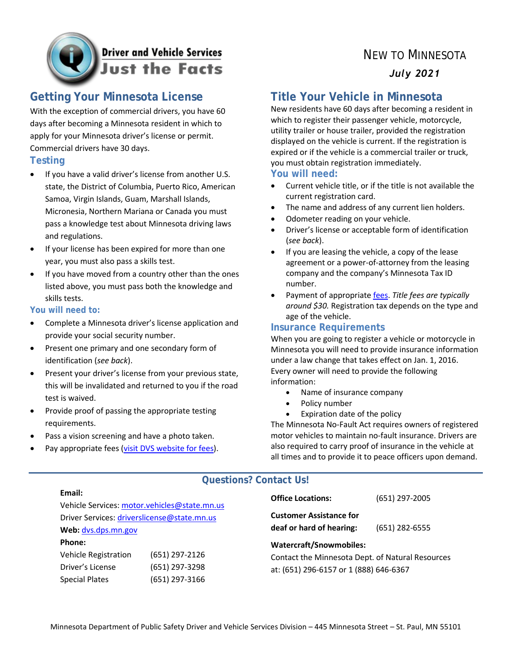

# **Getting Your Minnesota License**

With the exception of commercial drivers, you have 60 days after becoming a Minnesota resident in which to apply for your Minnesota driver's license or permit. Commercial drivers have 30 days.

### **Testing**

- If you have a valid driver's license from another U.S. state, the District of Columbia, Puerto Rico, American Samoa, Virgin Islands, Guam, Marshall Islands, Micronesia, Northern Mariana or Canada you must pass a knowledge test about Minnesota driving laws and regulations.
- If your license has been expired for more than one year, you must also pass a skills test.
- If you have moved from a country other than the ones listed above, you must pass both the knowledge and skills tests.

#### **You will need to:**

- Complete a Minnesota driver's license application and provide your social security number.
- Present one primary and one secondary form of identification (*see back*).
- Present your driver's license from your previous state, this will be invalidated and returned to you if the road test is waived.
- Provide proof of passing the appropriate testing requirements.
- Pass a vision screening and have a photo taken.
- Pay appropriate fees [\(visit DVS website for fees\)](https://dps.mn.gov/divisions/dvs/Pages/drivers-license-fees.aspx).

# NEW TO MINNESOTA *July 2021*

# **Title Your Vehicle in Minnesota**

New residents have 60 days after becoming a resident in which to register their passenger vehicle, motorcycle, utility trailer or house trailer, provided the registration displayed on the vehicle is current. If the registration is expired or if the vehicle is a commercial trailer or truck, you must obtain registration immediately.

#### **You will need:**

- Current vehicle title, or if the title is not available the current registration card.
- The name and address of any current lien holders.
- Odometer reading on your vehicle.
- Driver's license or acceptable form of identification (*see back*).
- If you are leasing the vehicle, a copy of the lease agreement or a power-of-attorney from the leasing company and the company's Minnesota Tax ID number.
- Payment of appropriat[e fees.](https://dps.mn.gov/divisions/dvs/Pages/dvs-fees.aspx) *Title fees are typically around \$30.* Registration tax depends on the type and age of the vehicle.

#### **Insurance Requirements**

When you are going to register a vehicle or motorcycle in Minnesota you will need to provide insurance information under a law change that takes effect on Jan. 1, 2016. Every owner will need to provide the following information:

- Name of insurance company
- Policy number
- Expiration date of the policy

The Minnesota No-Fault Act requires owners of registered motor vehicles to maintain no-fault insurance. Drivers are also required to carry proof of insurance in the vehicle at all times and to provide it to peace officers upon demand.

### **Questions? Contact Us!**

| Email:                                       |                | <b>Office Locations:</b>                                                                   | (651) 297-2005   |
|----------------------------------------------|----------------|--------------------------------------------------------------------------------------------|------------------|
| Vehicle Services: motor.vehicles@state.mn.us |                |                                                                                            |                  |
| Driver Services: driverslicense@state.mn.us  |                | <b>Customer Assistance for</b>                                                             |                  |
| Web: dvs.dps.mn.gov                          |                | deaf or hard of hearing:                                                                   | $(651)$ 282-6555 |
| Phone:                                       |                | <b>Watercraft/Snowmobiles:</b>                                                             |                  |
| Vehicle Registration                         | (651) 297-2126 | Contact the Minnesota Dept. of Natural Resources<br>at: (651) 296-6157 or 1 (888) 646-6367 |                  |
| Driver's License                             | (651) 297-3298 |                                                                                            |                  |
| <b>Special Plates</b>                        | (651) 297-3166 |                                                                                            |                  |